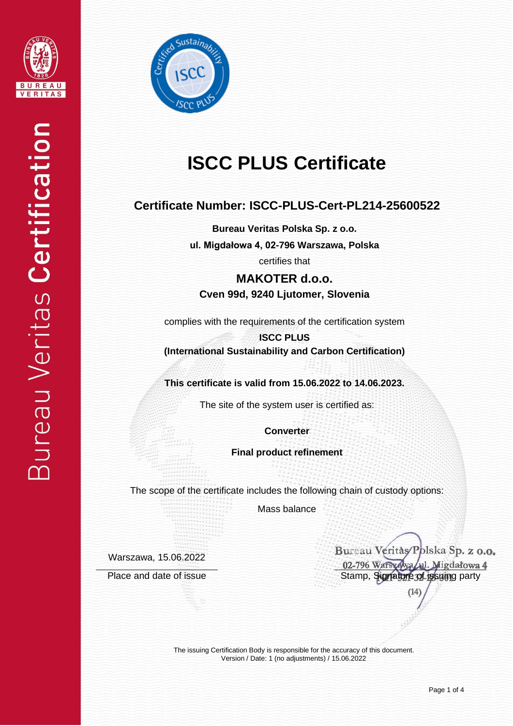



# **ISCC PLUS Certificate**

### **Certificate Number: ISCC-PLUS-Cert-PL214-25600522**

**Bureau Veritas Polska Sp. z o.o. ul. Migdałowa 4, 02-796 Warszawa, Polska**

certifies that

**MAKOTER d.o.o. Cven 99d, 9240 Ljutomer, Slovenia**

complies with the requirements of the certification system

**ISCC PLUS (International Sustainability and Carbon Certification)**

**This certificate is valid from 15.06.2022 to 14.06.2023.**

The site of the system user is certified as:

**Converter**

**Final product refinement**

The scope of the certificate includes the following chain of custody options:

Mass balance

Warszawa, 15.06.2022

Bureau Veritàs/Polska Sp. z o.o. 02-796 Warszawa (ul. Migdałowa 4 Place and date of issue Stamp, Signature of issue Stamp, Signature of issuing party

 $(14)$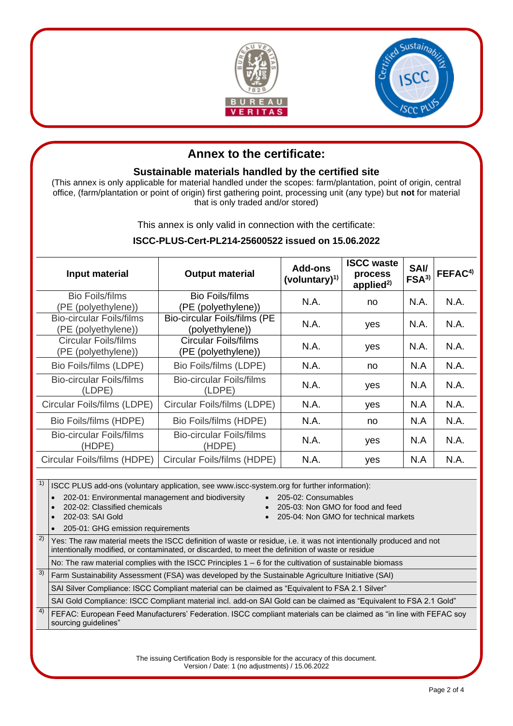



## **Annex to the certificate:**

#### **Sustainable materials handled by the certified site**

(This annex is only applicable for material handled under the scopes: farm/plantation, point of origin, central office, (farm/plantation or point of origin) first gathering point, processing unit (any type) but **not** for material that is only traded and/or stored)

This annex is only valid in connection with the certificate:

#### **ISCC-PLUS-Cert-PL214-25600522 issued on 15.06.2022**

| Input material                                         | <b>Output material</b>                                 | Add-ons<br>(voluntary) $^{1)}$ | <b>ISCC waste</b><br>process<br>applied <sup>2)</sup> | <b>SAI/</b><br>FSA <sup>3</sup> | FEFAC <sup>4)</sup> |
|--------------------------------------------------------|--------------------------------------------------------|--------------------------------|-------------------------------------------------------|---------------------------------|---------------------|
| <b>Bio Foils/films</b><br>(PE (polyethylene))          | <b>Bio Foils/films</b><br>(PE (polyethylene))          | N.A.                           | no                                                    | N.A.                            | N.A.                |
| <b>Bio-circular Foils/films</b><br>(PE (polyethylene)) | <b>Bio-circular Foils/films (PE</b><br>(polyethylene)) | N.A.                           | yes                                                   | N.A.                            | N.A.                |
| <b>Circular Foils/films</b><br>(PE (polyethylene))     | <b>Circular Foils/films</b><br>(PE (polyethylene))     | N.A.                           | yes                                                   | N.A.                            | N.A.                |
| Bio Foils/films (LDPE)                                 | Bio Foils/films (LDPE)                                 | N.A.                           | no                                                    | N.A                             | N.A.                |
| Bio-circular Foils/films<br>(LDPE)                     | Bio-circular Foils/films<br>(LDPE)                     | N.A.                           | yes                                                   | N.A                             | N.A.                |
| Circular Foils/films (LDPE)                            | Circular Foils/films (LDPE)                            | N.A.                           | yes                                                   | N.A                             | N.A.                |
| Bio Foils/films (HDPE)                                 | Bio Foils/films (HDPE)                                 | N.A.                           | no                                                    | N.A                             | N.A.                |
| <b>Bio-circular Foils/films</b><br>(HDPE)              | <b>Bio-circular Foils/films</b><br>(HDPE)              | N.A.                           | yes                                                   | N.A                             | N.A.                |
| Circular Foils/films (HDPE)                            | Circular Foils/films (HDPE)                            | N.A.                           | yes                                                   | N.A                             | N.A.                |

 $1)$  SCC PLUS add-ons (voluntary application, see www.iscc-system.org for further information):

• 202-01: Environmental management and biodiversity • 205-02: Consumables

- 
- 202-02: Classified chemicals 205-03: Non GMO for food and feed
- 202-03: SAI Gold 205-04: Non GMO for technical markets
- 
- 205-01: GHG emission requirements
- <sup>2)</sup> Yes: The raw material meets the ISCC definition of waste or residue, i.e. it was not intentionally produced and not intentionally modified, or contaminated, or discarded, to meet the definition of waste or residue

No: The raw material complies with the ISCC Principles 1 – 6 for the cultivation of sustainable biomass

 $3)$  Farm Sustainability Assessment (FSA) was developed by the Sustainable Agriculture Initiative (SAI)

SAI Silver Compliance: ISCC Compliant material can be claimed as "Equivalent to FSA 2.1 Silver"

SAI Gold Compliance: ISCC Compliant material incl. add-on SAI Gold can be claimed as "Equivalent to FSA 2.1 Gold"

<sup>4)</sup> FEFAC: European Feed Manufacturers' Federation. ISCC compliant materials can be claimed as "in line with FEFAC soy sourcing guidelines"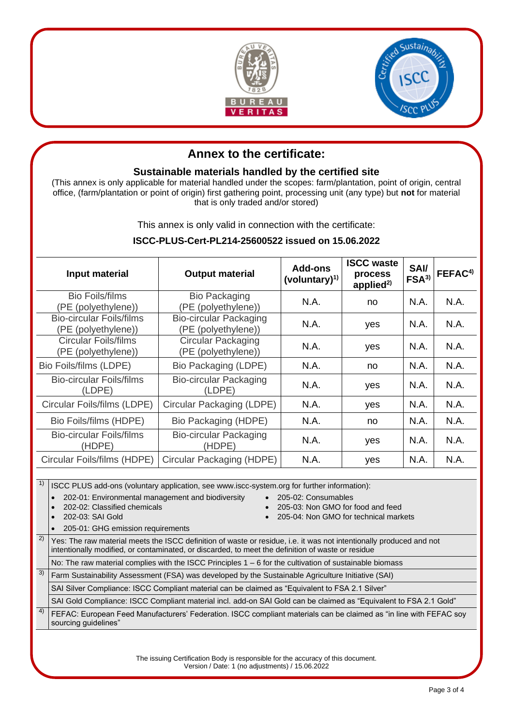



## **Annex to the certificate:**

#### **Sustainable materials handled by the certified site**

(This annex is only applicable for material handled under the scopes: farm/plantation, point of origin, central office, (farm/plantation or point of origin) first gathering point, processing unit (any type) but **not** for material that is only traded and/or stored)

This annex is only valid in connection with the certificate:

#### **ISCC-PLUS-Cert-PL214-25600522 issued on 15.06.2022**

| Input material                                         | <b>Output material</b>                               | Add-ons<br>(voluntary) $^{1)}$ | <b>ISCC waste</b><br>process<br>applied <sup>2)</sup> | <b>SAI/</b><br>FSA <sup>3</sup> | FEFAC <sup>4)</sup> |
|--------------------------------------------------------|------------------------------------------------------|--------------------------------|-------------------------------------------------------|---------------------------------|---------------------|
| <b>Bio Foils/films</b><br>(PE (polyethylene))          | <b>Bio Packaging</b><br>(PE (polyethylene))          | N.A.                           | no                                                    | N.A.                            | N.A.                |
| <b>Bio-circular Foils/films</b><br>(PE (polyethylene)) | <b>Bio-circular Packaging</b><br>(PE (polyethylene)) | N.A.                           | yes                                                   | N.A.                            | N.A.                |
| <b>Circular Foils/films</b><br>(PE (polyethylene))     | <b>Circular Packaging</b><br>(PE (polyethylene))     | N.A.                           | yes                                                   | N.A.                            | N.A.                |
| Bio Foils/films (LDPE)                                 | Bio Packaging (LDPE)                                 | N.A.                           | no                                                    | N.A.                            | N.A.                |
| Bio-circular Foils/films<br>(LDPE)                     | <b>Bio-circular Packaging</b><br>(LDPE)              | N.A.                           | yes                                                   | N.A.                            | N.A.                |
| Circular Foils/films (LDPE)                            | Circular Packaging (LDPE)                            | N.A.                           | yes                                                   | N.A.                            | N.A.                |
| Bio Foils/films (HDPE)                                 | Bio Packaging (HDPE)                                 | N.A.                           | no                                                    | N.A.                            | N.A.                |
| <b>Bio-circular Foils/films</b><br>(HDPE)              | <b>Bio-circular Packaging</b><br>(HDPE)              | N.A.                           | yes                                                   | N.A.                            | N.A.                |
| Circular Foils/films (HDPE)                            | Circular Packaging (HDPE)                            | N.A.                           | yes                                                   | N.A.                            | N.A.                |

 $1)$  SCC PLUS add-ons (voluntary application, see www.iscc-system.org for further information):

• 202-01: Environmental management and biodiversity • 205-02: Consumables

- 
- 202-02: Classified chemicals 205-03: Non GMO for food and feed
- 202-03: SAI Gold 205-04: Non GMO for technical markets
- 
- 205-01: GHG emission requirements <sup>2)</sup> Yes: The raw material meets the ISCC definition of waste or residue, i.e. it was not intentionally produced and not intentionally modified, or contaminated, or discarded, to meet the definition of waste or residue

No: The raw material complies with the ISCC Principles 1 – 6 for the cultivation of sustainable biomass

 $3)$  Farm Sustainability Assessment (FSA) was developed by the Sustainable Agriculture Initiative (SAI) SAI Silver Compliance: ISCC Compliant material can be claimed as "Equivalent to FSA 2.1 Silver"

SAI Gold Compliance: ISCC Compliant material incl. add-on SAI Gold can be claimed as "Equivalent to FSA 2.1 Gold"

<sup>4)</sup> FEFAC: European Feed Manufacturers' Federation. ISCC compliant materials can be claimed as "in line with FEFAC soy sourcing guidelines"